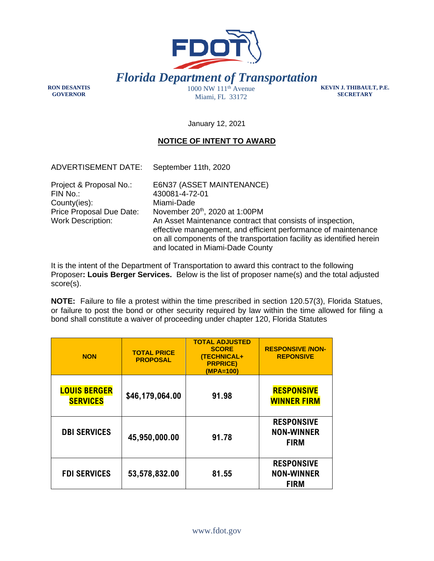

**RON DESANTIS GOVERNOR** 

Miami, FL 33172

**KEVIN J. THIBAULT, P.E. SECRETARY** 

January 12, 2021

## **NOTICE OF INTENT TO AWARD**

| <b>ADVERTISEMENT DATE:</b>                                                                                  | September 11th, 2020                                                                                                                                                                                                                                                                                                                    |
|-------------------------------------------------------------------------------------------------------------|-----------------------------------------------------------------------------------------------------------------------------------------------------------------------------------------------------------------------------------------------------------------------------------------------------------------------------------------|
| Project & Proposal No.:<br>FIN No.:<br>County(ies):<br>Price Proposal Due Date:<br><b>Work Description:</b> | E6N37 (ASSET MAINTENANCE)<br>430081-4-72-01<br>Miami-Dade<br>November 20th, 2020 at 1:00PM<br>An Asset Maintenance contract that consists of inspection,<br>effective management, and efficient performance of maintenance<br>on all components of the transportation facility as identified herein<br>and located in Miami-Dade County |

It is the intent of the Department of Transportation to award this contract to the following Proposer**: Louis Berger Services.** Below is the list of proposer name(s) and the total adjusted score(s).

**NOTE:** Failure to file a protest within the time prescribed in section 120.57(3), Florida Statues, or failure to post the bond or other security required by law within the time allowed for filing a bond shall constitute a waiver of proceeding under chapter 120, Florida Statutes

| <b>NON</b>                             | <b>TOTAL PRICE</b><br><b>PROPOSAL</b> | <b>TOTAL ADJUSTED</b><br><b>SCORE</b><br><b>(TECHNICAL+</b><br><b>PRPRICE)</b><br>(MPA=100) | <b>RESPONSIVE /NON-</b><br><b>REPONSIVE</b>           |
|----------------------------------------|---------------------------------------|---------------------------------------------------------------------------------------------|-------------------------------------------------------|
| <b>LOUIS BERGER</b><br><b>SERVICES</b> | \$46,179,064.00                       | 91.98                                                                                       | <b>RESPONSIVE</b><br><b>WINNER FIRM</b>               |
| <b>DBI SERVICES</b>                    | 45,950,000.00                         | 91.78                                                                                       | <b>RESPONSIVE</b><br><b>NON-WINNER</b><br><b>FIRM</b> |
| <b>FDI SERVICES</b>                    | 53,578,832.00                         | 81.55                                                                                       | <b>RESPONSIVE</b><br><b>NON-WINNER</b><br><b>FIRM</b> |